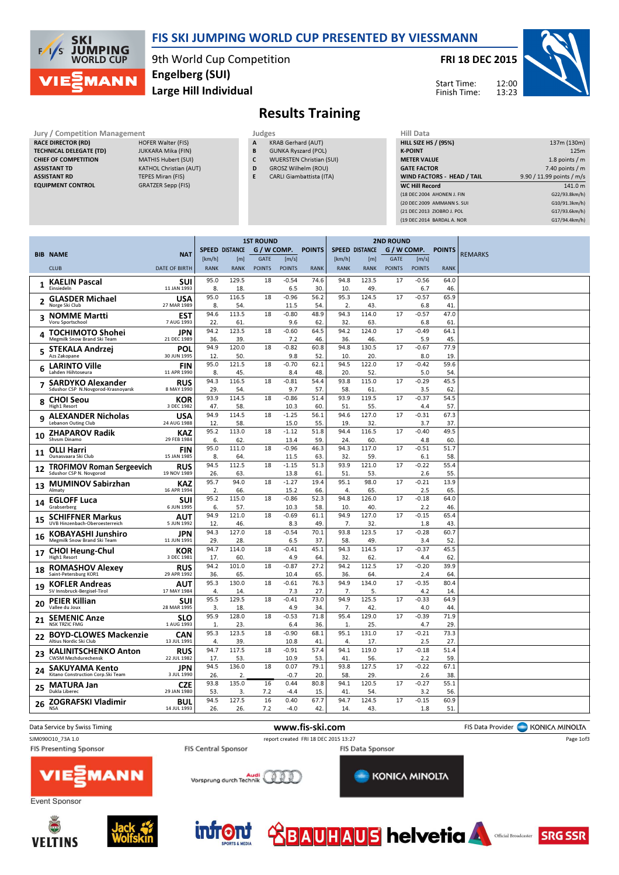

### FIS SKI JUMPING WORLD CUP PRESENTED BY VIESSMANN

9th World Cup Competition Large Hill Individual Engelberg (SUI)

FRI 18 DEC 2015

12:00 13:23 Start Time: Finish Time:



# Results Training

- Jury / Competition Management Judges<br>
RACE DIRECTOR (RD) HOFER Walter (FIS) A KR RACE DIRECTOR (RD) TECHNICAL DELEGATE (TD) JUKKARA Mika (FIN) CHIEF OF COMPETITION MATHIS Hubert (SUI) ASSISTANT TD KATHOL Christian (AUT) ASSISTANT RD TEPES Miran (FIS)
- EQUIPMENT CONTROL GRATZER Sepp (FIS)
- KRAB Gerhard (AUT)
- B GUNKA Ryszard (POL)
- C WUERSTEN Christian (SUI)
- D GROSZ Wilhelm (ROU) E CARLI Giambattista (ITA)

| Hill Data                         |                           |
|-----------------------------------|---------------------------|
| <b>HILL SIZE HS / (95%)</b>       | 137m (130m)               |
| <b>K-POINT</b>                    | 125m                      |
| <b>METER VALUE</b>                | 1.8 points $/m$           |
| <b>GATE FACTOR</b>                | 7.40 points $/m$          |
| <b>WIND FACTORS - HEAD / TAIL</b> | 9.90 / 11.99 points / m/s |
| <b>WC Hill Record</b>             | 141.0 m                   |
| (18 DEC 2004 AHONEN J. FIN        | G22/93.8km/h)             |
| (20 DEC 2009 AMMANN S. SUI        | G10/91.3km/h)             |
| (21 DEC 2013 ZIOBRO J. POL        | G17/93.6km/h)             |
| (19 DEC 2014 BARDAL A. NOR        | G17/94.4km/h)             |
|                                   |                           |

| <b>POINTS</b><br><b>SPEED DISTANCE</b><br>G / W COMP.<br><b>SPEED DISTANCE</b><br>G / W COMP.<br><b>POINTS</b><br><b>REMARKS</b><br><b>BIB NAME</b><br><b>NAT</b><br><b>GATE</b><br><b>GATE</b><br>[m/s]<br>[km/h]<br>[m/s]<br>[km/h]<br>[m]<br>[m]<br><b>CLUB</b><br><b>DATE OF BIRTH</b><br><b>RANK</b><br><b>RANK</b><br><b>POINTS</b><br><b>POINTS</b><br><b>RANK</b><br><b>RANK</b><br><b>RANK</b><br><b>POINTS</b><br><b>POINTS</b><br><b>RANK</b><br>95.0<br>129.5<br>18<br>$-0.54$<br>74.6<br>94.8<br>123.5<br>17<br>$-0.56$<br>64.0<br>SUI<br><b>KAELIN Pascal</b><br>$\mathbf{1}$<br>8.<br>6.5<br>30.<br>49.<br>6.7<br>46.<br>Einsiedeln<br>11 JAN 1993<br>18.<br>10.<br>95.0<br>116.5<br>56.2<br>95.3<br>124.5<br>$-0.57$<br>65.9<br>18<br>$-0.96$<br>17<br><b>GLASDER Michael</b><br>USA<br>$\overline{\mathbf{2}}$<br>8.<br>2.<br>Norge Ski Club<br>27 MAR 1989<br>54.<br>11.5<br>54<br>43.<br>6.8<br>41<br>94.3<br>94.6<br>113.5<br>48.9<br>114.0<br>$-0.57$<br>47.0<br>18<br>$-0.80$<br>17<br>EST<br><b>NOMME Martti</b><br>Voru Sportschool<br>7 AUG 1993<br>22.<br>61.<br>9.6<br>62.<br>32.<br>63.<br>6.8<br>61<br>123.5<br>64.5<br>94.2<br>124.0<br>94.2<br>18<br>$-0.60$<br>17<br>$-0.49$<br>64.1<br>JPN<br><b>TOCHIMOTO Shohei</b><br>4<br>39.<br>46.<br>45.<br>Megmilk Snow Brand Ski Team<br>21 DEC 1989<br>36.<br>7.2<br>46.<br>36.<br>5.9<br>94.9<br>130.5<br>77.9<br>120.0<br>18<br>$-0.82$<br>60.8<br>94.8<br>17<br>$-0.67$<br>POL<br>STEKALA Andrzej<br>Azs Zakopane<br>30 JUN 1995<br>12.<br>50.<br>9.8<br>52<br>10.<br>20.<br>8.0<br>19<br>95.0<br>94.5<br>121.5<br>18<br>$-0.70$<br>62.1<br>122.0<br>17<br>$-0.42$<br>59.6<br><b>FIN</b><br><b>LARINTO Ville</b><br>6<br>Lahden Hiihtoseura<br>11 APR 1990<br>8.<br>45.<br>8.4<br>48.<br>20.<br>52.<br>5.0<br>54<br>94.3<br>116.5<br>115.0<br>$-0.29$<br>18<br>$-0.81$<br>54.4<br>93.8<br>17<br>45.5<br><b>RUS</b><br><b>SARDYKO Alexander</b><br>Sdushor CSP N.Novgorod-Krasnoyarsk<br>9.7<br>8 MAY 1990<br>29.<br>54.<br>57<br>58.<br>61.<br>3.5<br>62<br>93.9<br>114.5<br>93.9<br>119.5<br>18<br>$-0.86$<br>51.4<br>17<br>$-0.37$<br>54.5<br>KOR<br><b>CHOI Seou</b><br>8<br>High1 Resort<br>3 DEC 1982<br>47.<br>58.<br>10.3<br>60<br>51<br>55.<br>57.<br>4.4<br>94.9<br>114.5<br>94.6<br>127.0<br>18<br>$-1.25$<br>56.1<br>17<br>$-0.31$<br>67.3<br><b>USA</b><br><b>ALEXANDER Nicholas</b><br>9<br><b>Lebanon Outing Club</b><br>24 AUG 1988<br>12.<br>58.<br>15.0<br>55.<br>19<br>32.<br>37.<br>3.7<br>95.2<br>113.0<br>51.8<br>94.4<br>116.5<br>$-0.40$<br>18<br>$-1.12$<br>17<br>49.5<br><b>KAZ</b><br><b>ZHAPAROV Radik</b><br>10<br>Shysm Dinamo<br>29 FEB 1984<br>6.<br>62.<br>59<br>24<br>60.<br>60<br>13.4<br>4.8<br>94.3<br>117.0<br>$-0.51$<br>95.0<br>111.0<br>18<br>$-0.96$<br>46.3<br>17<br>51.7<br><b>FIN</b><br><b>OLLI Harri</b><br>11<br>8.<br>11.5<br>63<br>32<br>59.<br>58.<br>Ounasvaara Ski Club<br>15 JAN 1985<br>64.<br>6.1<br>94.5<br>112.5<br>$-1.15$<br>51.3<br>93.9<br>121.0<br>$-0.22$<br>18<br>17<br>55.4<br><b>RUS</b><br><b>TROFIMOV Roman Sergeevich</b><br>12<br>26.<br>51<br>53.<br>Sdushor CSP N. Novgorod<br>19 NOV 1989<br>63.<br>13.8<br>61<br>2.6<br>55.<br>95.7<br>94.0<br>$-1.27$<br>95.1<br>98.0<br>18<br>19.4<br>17<br>$-0.21$<br>13.9<br><b>KAZ</b><br><b>MUMINOV Sabirzhan</b><br>13<br>2.<br>66.<br>15.2<br>66.<br>$\overline{4}$<br>65.<br>2.5<br>65<br>Almaty<br>16 APR 1994<br>95.2<br>115.0<br>94.8<br>18<br>$-0.86$<br>52.3<br>126.0<br>$-0.18$<br>64.0<br>17<br>SUI<br><b>EGLOFF Luca</b><br>14<br>Grabserberg<br>57.<br>58.<br>40.<br>46.<br>6 JUN 1995<br>6.<br>10.3<br>10.<br>2.2<br>94.9<br>121.0<br>61.1<br>94.9<br>127.0<br>$-0.15$<br>65.4<br>18<br>$-0.69$<br>17<br><b>SCHIFFNER Markus</b><br>AUT<br>15<br>12.<br>46.<br>8.3<br>49<br>7.<br>32.<br>43.<br>UVB Hinzenbach-Oberoesterreich<br>5 JUN 1992<br>1.8<br>123.5<br>94.3<br>127.0<br>$-0.54$<br>70.1<br>93.8<br>18<br>17<br>$-0.28$<br>60.7<br>JPN<br>KOBAYASHI Junshiro<br>16<br>Megmilk Snow Brand Ski Team<br>11 JUN 1991<br>29.<br>28.<br>6.5<br>37.<br>58.<br>49.<br>3.4<br>52<br>94.7<br>45.1<br>94.3<br>114.5<br>$-0.37$<br>114.0<br>18<br>$-0.41$<br>17<br>45.5<br>KOR<br><b>CHOI Heung-Chul</b><br>17<br>High1 Resort<br>3 DEC 1981<br>17.<br>60<br>4.9<br>64<br>32<br>62<br>62<br>4.4<br>94.2<br>101.0<br>$-0.87$<br>27.2<br>94.2<br>112.5<br>$-0.20$<br>39.9<br>18<br>17<br><b>ROMASHOV Alexey</b><br><b>RUS</b><br>18<br>Saint-Petersburg KOR1<br>29 APR 1992<br>65.<br>65<br>36.<br>10.4<br>36.<br>64<br>2.4<br>64<br>95.3<br>94.9<br>130.0<br>18<br>$-0.61$<br>76.3<br>134.0<br>17<br>$-0.35$<br>80.4<br><b>KOFLER Andreas</b><br>AUT<br>19<br>SV Innsbruck-Bergisel-Tirol<br>17 MAY 1984<br>4.<br>14.<br>7.3<br>27.<br>7.<br>5.<br>14.<br>4.2<br>125.5<br>95.5<br>129.5<br>$-0.41$<br>73.0<br>94.9<br>$-0.33$<br>18<br>17<br>64.9<br><b>PEIER Killian</b><br>SUI<br>20<br>Vallee du Joux<br>28 MAR 1995<br>3.<br>18.<br>4.9<br>34<br>7.<br>42.<br>4.0<br>44<br>95.9<br>128.0<br>$-0.53$<br>71.8<br>95.4<br>129.0<br>$-0.39$<br>71.9<br>18<br>17<br><b>SEMENIC Anze</b><br><b>SLO</b><br>21<br>29.<br><b>NSK TRZIC FMG</b><br>1 AUG 1993<br>23.<br>6.4<br>36.<br>1.<br>25.<br>4.7<br>1.<br>95.3<br>123.5<br>$-0.90$<br>68.1<br>95.1<br>131.0<br>$-0.21$<br>73.3<br>18<br>17<br><b>BOYD-CLOWES Mackenzie</b><br><b>CAN</b><br>22<br>Altius Nordic Ski Club<br>13 JUL 1991<br>4.<br>39.<br>10.8<br>41<br>4.<br>17.<br>2.5<br>27<br>94.7<br>117.5<br>18<br>$-0.91$<br>94.1<br>119.0<br>$-0.18$<br>57.4<br>17<br>51.4<br><b>RUS</b><br><b>KALINITSCHENKO Anton</b><br>23<br>22 JUL 1982<br>17.<br>53.<br>10.9<br>53.<br>41.<br>2.2<br>59.<br><b>CWSM Mezhdurechensk</b><br>56.<br>94.5<br>136.0<br>79.1<br>127.5<br>$-0.22$<br>18<br>0.07<br>93.8<br>17<br>67.1<br><b>JPN</b><br><b>SAKUYAMA Kento</b><br>24<br>29.<br>26.<br>2.<br>$-0.7$<br>20.<br>58.<br>38.<br>Kitano Construction Corp.Ski Team<br>3 JUL 1990<br>2.6<br>135.0<br>93.8<br>80.8<br>94.1<br>120.5<br>$-0.27$<br>55.1<br>0.44<br>17<br>16<br><b>CZE</b><br><b>MATURA Jan</b><br>25<br>Dukla Liberec<br>29 JAN 1980<br>53.<br>3.<br>7.2<br>$-4.4$<br>15.<br>41<br>54.<br>3.2<br>56.<br>94.5<br>127.5<br>16<br>67.7<br>94.7<br>124.5<br>$-0.15$<br>0.40<br>17<br>60.9<br><b>ZOGRAFSKI Vladimir</b><br>BUL<br>26<br>14 JUL 1993<br><b>NSA</b><br>26.<br>26.<br>7.2<br>$-4.0$<br>42.<br>43.<br>1.8<br>51<br>14. |  | <b>1ST ROUND</b> |  |  |  |  |  | <b>2ND ROUND</b> |  |  |
|-----------------------------------------------------------------------------------------------------------------------------------------------------------------------------------------------------------------------------------------------------------------------------------------------------------------------------------------------------------------------------------------------------------------------------------------------------------------------------------------------------------------------------------------------------------------------------------------------------------------------------------------------------------------------------------------------------------------------------------------------------------------------------------------------------------------------------------------------------------------------------------------------------------------------------------------------------------------------------------------------------------------------------------------------------------------------------------------------------------------------------------------------------------------------------------------------------------------------------------------------------------------------------------------------------------------------------------------------------------------------------------------------------------------------------------------------------------------------------------------------------------------------------------------------------------------------------------------------------------------------------------------------------------------------------------------------------------------------------------------------------------------------------------------------------------------------------------------------------------------------------------------------------------------------------------------------------------------------------------------------------------------------------------------------------------------------------------------------------------------------------------------------------------------------------------------------------------------------------------------------------------------------------------------------------------------------------------------------------------------------------------------------------------------------------------------------------------------------------------------------------------------------------------------------------------------------------------------------------------------------------------------------------------------------------------------------------------------------------------------------------------------------------------------------------------------------------------------------------------------------------------------------------------------------------------------------------------------------------------------------------------------------------------------------------------------------------------------------------------------------------------------------------------------------------------------------------------------------------------------------------------------------------------------------------------------------------------------------------------------------------------------------------------------------------------------------------------------------------------------------------------------------------------------------------------------------------------------------------------------------------------------------------------------------------------------------------------------------------------------------------------------------------------------------------------------------------------------------------------------------------------------------------------------------------------------------------------------------------------------------------------------------------------------------------------------------------------------------------------------------------------------------------------------------------------------------------------------------------------------------------------------------------------------------------------------------------------------------------------------------------------------------------------------------------------------------------------------------------------------------------------------------------------------------------------------------------------------------------------------------------------------------------------------------------------------------------------------------------------------------------------------------------------------------------------------------------------------------------------------------------------------------------------------------------------------------------------------------------------------------------------------------------------------------------------------------------------------------------------------------------------------------------------------------------------------------------------------------------------------------------------------------------------------------------------------------------------------------------------------------------------------------------------------------------------------------------------------------------------------------------------------------------------------------------------------------------------------------------------------------------------------------------------------------------------------------------------------------------------------------------------------------------------------------------------------------------------------------------------------------------------------------------------------------------------------------------------------------------------------------------------------------------------------------------------------------------------------------------------------------------------------------------------------------------------------------------------------------------------------------------------------------------------------------------------------------------------------------------------------------------------------------|--|------------------|--|--|--|--|--|------------------|--|--|
|                                                                                                                                                                                                                                                                                                                                                                                                                                                                                                                                                                                                                                                                                                                                                                                                                                                                                                                                                                                                                                                                                                                                                                                                                                                                                                                                                                                                                                                                                                                                                                                                                                                                                                                                                                                                                                                                                                                                                                                                                                                                                                                                                                                                                                                                                                                                                                                                                                                                                                                                                                                                                                                                                                                                                                                                                                                                                                                                                                                                                                                                                                                                                                                                                                                                                                                                                                                                                                                                                                                                                                                                                                                                                                                                                                                                                                                                                                                                                                                                                                                                                                                                                                                                                                                                                                                                                                                                                                                                                                                                                                                                                                                                                                                                                                                                                                                                                                                                                                                                                                                                                                                                                                                                                                                                                                                                                                                                                                                                                                                                                                                                                                                                                                                                                                                                                                                                                                                                                                                                                                                                                                                                                                                                                                                                                                                                                                                               |  |                  |  |  |  |  |  |                  |  |  |
|                                                                                                                                                                                                                                                                                                                                                                                                                                                                                                                                                                                                                                                                                                                                                                                                                                                                                                                                                                                                                                                                                                                                                                                                                                                                                                                                                                                                                                                                                                                                                                                                                                                                                                                                                                                                                                                                                                                                                                                                                                                                                                                                                                                                                                                                                                                                                                                                                                                                                                                                                                                                                                                                                                                                                                                                                                                                                                                                                                                                                                                                                                                                                                                                                                                                                                                                                                                                                                                                                                                                                                                                                                                                                                                                                                                                                                                                                                                                                                                                                                                                                                                                                                                                                                                                                                                                                                                                                                                                                                                                                                                                                                                                                                                                                                                                                                                                                                                                                                                                                                                                                                                                                                                                                                                                                                                                                                                                                                                                                                                                                                                                                                                                                                                                                                                                                                                                                                                                                                                                                                                                                                                                                                                                                                                                                                                                                                                               |  |                  |  |  |  |  |  |                  |  |  |
|                                                                                                                                                                                                                                                                                                                                                                                                                                                                                                                                                                                                                                                                                                                                                                                                                                                                                                                                                                                                                                                                                                                                                                                                                                                                                                                                                                                                                                                                                                                                                                                                                                                                                                                                                                                                                                                                                                                                                                                                                                                                                                                                                                                                                                                                                                                                                                                                                                                                                                                                                                                                                                                                                                                                                                                                                                                                                                                                                                                                                                                                                                                                                                                                                                                                                                                                                                                                                                                                                                                                                                                                                                                                                                                                                                                                                                                                                                                                                                                                                                                                                                                                                                                                                                                                                                                                                                                                                                                                                                                                                                                                                                                                                                                                                                                                                                                                                                                                                                                                                                                                                                                                                                                                                                                                                                                                                                                                                                                                                                                                                                                                                                                                                                                                                                                                                                                                                                                                                                                                                                                                                                                                                                                                                                                                                                                                                                                               |  |                  |  |  |  |  |  |                  |  |  |
|                                                                                                                                                                                                                                                                                                                                                                                                                                                                                                                                                                                                                                                                                                                                                                                                                                                                                                                                                                                                                                                                                                                                                                                                                                                                                                                                                                                                                                                                                                                                                                                                                                                                                                                                                                                                                                                                                                                                                                                                                                                                                                                                                                                                                                                                                                                                                                                                                                                                                                                                                                                                                                                                                                                                                                                                                                                                                                                                                                                                                                                                                                                                                                                                                                                                                                                                                                                                                                                                                                                                                                                                                                                                                                                                                                                                                                                                                                                                                                                                                                                                                                                                                                                                                                                                                                                                                                                                                                                                                                                                                                                                                                                                                                                                                                                                                                                                                                                                                                                                                                                                                                                                                                                                                                                                                                                                                                                                                                                                                                                                                                                                                                                                                                                                                                                                                                                                                                                                                                                                                                                                                                                                                                                                                                                                                                                                                                                               |  |                  |  |  |  |  |  |                  |  |  |
|                                                                                                                                                                                                                                                                                                                                                                                                                                                                                                                                                                                                                                                                                                                                                                                                                                                                                                                                                                                                                                                                                                                                                                                                                                                                                                                                                                                                                                                                                                                                                                                                                                                                                                                                                                                                                                                                                                                                                                                                                                                                                                                                                                                                                                                                                                                                                                                                                                                                                                                                                                                                                                                                                                                                                                                                                                                                                                                                                                                                                                                                                                                                                                                                                                                                                                                                                                                                                                                                                                                                                                                                                                                                                                                                                                                                                                                                                                                                                                                                                                                                                                                                                                                                                                                                                                                                                                                                                                                                                                                                                                                                                                                                                                                                                                                                                                                                                                                                                                                                                                                                                                                                                                                                                                                                                                                                                                                                                                                                                                                                                                                                                                                                                                                                                                                                                                                                                                                                                                                                                                                                                                                                                                                                                                                                                                                                                                                               |  |                  |  |  |  |  |  |                  |  |  |
|                                                                                                                                                                                                                                                                                                                                                                                                                                                                                                                                                                                                                                                                                                                                                                                                                                                                                                                                                                                                                                                                                                                                                                                                                                                                                                                                                                                                                                                                                                                                                                                                                                                                                                                                                                                                                                                                                                                                                                                                                                                                                                                                                                                                                                                                                                                                                                                                                                                                                                                                                                                                                                                                                                                                                                                                                                                                                                                                                                                                                                                                                                                                                                                                                                                                                                                                                                                                                                                                                                                                                                                                                                                                                                                                                                                                                                                                                                                                                                                                                                                                                                                                                                                                                                                                                                                                                                                                                                                                                                                                                                                                                                                                                                                                                                                                                                                                                                                                                                                                                                                                                                                                                                                                                                                                                                                                                                                                                                                                                                                                                                                                                                                                                                                                                                                                                                                                                                                                                                                                                                                                                                                                                                                                                                                                                                                                                                                               |  |                  |  |  |  |  |  |                  |  |  |
|                                                                                                                                                                                                                                                                                                                                                                                                                                                                                                                                                                                                                                                                                                                                                                                                                                                                                                                                                                                                                                                                                                                                                                                                                                                                                                                                                                                                                                                                                                                                                                                                                                                                                                                                                                                                                                                                                                                                                                                                                                                                                                                                                                                                                                                                                                                                                                                                                                                                                                                                                                                                                                                                                                                                                                                                                                                                                                                                                                                                                                                                                                                                                                                                                                                                                                                                                                                                                                                                                                                                                                                                                                                                                                                                                                                                                                                                                                                                                                                                                                                                                                                                                                                                                                                                                                                                                                                                                                                                                                                                                                                                                                                                                                                                                                                                                                                                                                                                                                                                                                                                                                                                                                                                                                                                                                                                                                                                                                                                                                                                                                                                                                                                                                                                                                                                                                                                                                                                                                                                                                                                                                                                                                                                                                                                                                                                                                                               |  |                  |  |  |  |  |  |                  |  |  |
|                                                                                                                                                                                                                                                                                                                                                                                                                                                                                                                                                                                                                                                                                                                                                                                                                                                                                                                                                                                                                                                                                                                                                                                                                                                                                                                                                                                                                                                                                                                                                                                                                                                                                                                                                                                                                                                                                                                                                                                                                                                                                                                                                                                                                                                                                                                                                                                                                                                                                                                                                                                                                                                                                                                                                                                                                                                                                                                                                                                                                                                                                                                                                                                                                                                                                                                                                                                                                                                                                                                                                                                                                                                                                                                                                                                                                                                                                                                                                                                                                                                                                                                                                                                                                                                                                                                                                                                                                                                                                                                                                                                                                                                                                                                                                                                                                                                                                                                                                                                                                                                                                                                                                                                                                                                                                                                                                                                                                                                                                                                                                                                                                                                                                                                                                                                                                                                                                                                                                                                                                                                                                                                                                                                                                                                                                                                                                                                               |  |                  |  |  |  |  |  |                  |  |  |
|                                                                                                                                                                                                                                                                                                                                                                                                                                                                                                                                                                                                                                                                                                                                                                                                                                                                                                                                                                                                                                                                                                                                                                                                                                                                                                                                                                                                                                                                                                                                                                                                                                                                                                                                                                                                                                                                                                                                                                                                                                                                                                                                                                                                                                                                                                                                                                                                                                                                                                                                                                                                                                                                                                                                                                                                                                                                                                                                                                                                                                                                                                                                                                                                                                                                                                                                                                                                                                                                                                                                                                                                                                                                                                                                                                                                                                                                                                                                                                                                                                                                                                                                                                                                                                                                                                                                                                                                                                                                                                                                                                                                                                                                                                                                                                                                                                                                                                                                                                                                                                                                                                                                                                                                                                                                                                                                                                                                                                                                                                                                                                                                                                                                                                                                                                                                                                                                                                                                                                                                                                                                                                                                                                                                                                                                                                                                                                                               |  |                  |  |  |  |  |  |                  |  |  |
|                                                                                                                                                                                                                                                                                                                                                                                                                                                                                                                                                                                                                                                                                                                                                                                                                                                                                                                                                                                                                                                                                                                                                                                                                                                                                                                                                                                                                                                                                                                                                                                                                                                                                                                                                                                                                                                                                                                                                                                                                                                                                                                                                                                                                                                                                                                                                                                                                                                                                                                                                                                                                                                                                                                                                                                                                                                                                                                                                                                                                                                                                                                                                                                                                                                                                                                                                                                                                                                                                                                                                                                                                                                                                                                                                                                                                                                                                                                                                                                                                                                                                                                                                                                                                                                                                                                                                                                                                                                                                                                                                                                                                                                                                                                                                                                                                                                                                                                                                                                                                                                                                                                                                                                                                                                                                                                                                                                                                                                                                                                                                                                                                                                                                                                                                                                                                                                                                                                                                                                                                                                                                                                                                                                                                                                                                                                                                                                               |  |                  |  |  |  |  |  |                  |  |  |
|                                                                                                                                                                                                                                                                                                                                                                                                                                                                                                                                                                                                                                                                                                                                                                                                                                                                                                                                                                                                                                                                                                                                                                                                                                                                                                                                                                                                                                                                                                                                                                                                                                                                                                                                                                                                                                                                                                                                                                                                                                                                                                                                                                                                                                                                                                                                                                                                                                                                                                                                                                                                                                                                                                                                                                                                                                                                                                                                                                                                                                                                                                                                                                                                                                                                                                                                                                                                                                                                                                                                                                                                                                                                                                                                                                                                                                                                                                                                                                                                                                                                                                                                                                                                                                                                                                                                                                                                                                                                                                                                                                                                                                                                                                                                                                                                                                                                                                                                                                                                                                                                                                                                                                                                                                                                                                                                                                                                                                                                                                                                                                                                                                                                                                                                                                                                                                                                                                                                                                                                                                                                                                                                                                                                                                                                                                                                                                                               |  |                  |  |  |  |  |  |                  |  |  |
|                                                                                                                                                                                                                                                                                                                                                                                                                                                                                                                                                                                                                                                                                                                                                                                                                                                                                                                                                                                                                                                                                                                                                                                                                                                                                                                                                                                                                                                                                                                                                                                                                                                                                                                                                                                                                                                                                                                                                                                                                                                                                                                                                                                                                                                                                                                                                                                                                                                                                                                                                                                                                                                                                                                                                                                                                                                                                                                                                                                                                                                                                                                                                                                                                                                                                                                                                                                                                                                                                                                                                                                                                                                                                                                                                                                                                                                                                                                                                                                                                                                                                                                                                                                                                                                                                                                                                                                                                                                                                                                                                                                                                                                                                                                                                                                                                                                                                                                                                                                                                                                                                                                                                                                                                                                                                                                                                                                                                                                                                                                                                                                                                                                                                                                                                                                                                                                                                                                                                                                                                                                                                                                                                                                                                                                                                                                                                                                               |  |                  |  |  |  |  |  |                  |  |  |
|                                                                                                                                                                                                                                                                                                                                                                                                                                                                                                                                                                                                                                                                                                                                                                                                                                                                                                                                                                                                                                                                                                                                                                                                                                                                                                                                                                                                                                                                                                                                                                                                                                                                                                                                                                                                                                                                                                                                                                                                                                                                                                                                                                                                                                                                                                                                                                                                                                                                                                                                                                                                                                                                                                                                                                                                                                                                                                                                                                                                                                                                                                                                                                                                                                                                                                                                                                                                                                                                                                                                                                                                                                                                                                                                                                                                                                                                                                                                                                                                                                                                                                                                                                                                                                                                                                                                                                                                                                                                                                                                                                                                                                                                                                                                                                                                                                                                                                                                                                                                                                                                                                                                                                                                                                                                                                                                                                                                                                                                                                                                                                                                                                                                                                                                                                                                                                                                                                                                                                                                                                                                                                                                                                                                                                                                                                                                                                                               |  |                  |  |  |  |  |  |                  |  |  |
|                                                                                                                                                                                                                                                                                                                                                                                                                                                                                                                                                                                                                                                                                                                                                                                                                                                                                                                                                                                                                                                                                                                                                                                                                                                                                                                                                                                                                                                                                                                                                                                                                                                                                                                                                                                                                                                                                                                                                                                                                                                                                                                                                                                                                                                                                                                                                                                                                                                                                                                                                                                                                                                                                                                                                                                                                                                                                                                                                                                                                                                                                                                                                                                                                                                                                                                                                                                                                                                                                                                                                                                                                                                                                                                                                                                                                                                                                                                                                                                                                                                                                                                                                                                                                                                                                                                                                                                                                                                                                                                                                                                                                                                                                                                                                                                                                                                                                                                                                                                                                                                                                                                                                                                                                                                                                                                                                                                                                                                                                                                                                                                                                                                                                                                                                                                                                                                                                                                                                                                                                                                                                                                                                                                                                                                                                                                                                                                               |  |                  |  |  |  |  |  |                  |  |  |
|                                                                                                                                                                                                                                                                                                                                                                                                                                                                                                                                                                                                                                                                                                                                                                                                                                                                                                                                                                                                                                                                                                                                                                                                                                                                                                                                                                                                                                                                                                                                                                                                                                                                                                                                                                                                                                                                                                                                                                                                                                                                                                                                                                                                                                                                                                                                                                                                                                                                                                                                                                                                                                                                                                                                                                                                                                                                                                                                                                                                                                                                                                                                                                                                                                                                                                                                                                                                                                                                                                                                                                                                                                                                                                                                                                                                                                                                                                                                                                                                                                                                                                                                                                                                                                                                                                                                                                                                                                                                                                                                                                                                                                                                                                                                                                                                                                                                                                                                                                                                                                                                                                                                                                                                                                                                                                                                                                                                                                                                                                                                                                                                                                                                                                                                                                                                                                                                                                                                                                                                                                                                                                                                                                                                                                                                                                                                                                                               |  |                  |  |  |  |  |  |                  |  |  |
|                                                                                                                                                                                                                                                                                                                                                                                                                                                                                                                                                                                                                                                                                                                                                                                                                                                                                                                                                                                                                                                                                                                                                                                                                                                                                                                                                                                                                                                                                                                                                                                                                                                                                                                                                                                                                                                                                                                                                                                                                                                                                                                                                                                                                                                                                                                                                                                                                                                                                                                                                                                                                                                                                                                                                                                                                                                                                                                                                                                                                                                                                                                                                                                                                                                                                                                                                                                                                                                                                                                                                                                                                                                                                                                                                                                                                                                                                                                                                                                                                                                                                                                                                                                                                                                                                                                                                                                                                                                                                                                                                                                                                                                                                                                                                                                                                                                                                                                                                                                                                                                                                                                                                                                                                                                                                                                                                                                                                                                                                                                                                                                                                                                                                                                                                                                                                                                                                                                                                                                                                                                                                                                                                                                                                                                                                                                                                                                               |  |                  |  |  |  |  |  |                  |  |  |
|                                                                                                                                                                                                                                                                                                                                                                                                                                                                                                                                                                                                                                                                                                                                                                                                                                                                                                                                                                                                                                                                                                                                                                                                                                                                                                                                                                                                                                                                                                                                                                                                                                                                                                                                                                                                                                                                                                                                                                                                                                                                                                                                                                                                                                                                                                                                                                                                                                                                                                                                                                                                                                                                                                                                                                                                                                                                                                                                                                                                                                                                                                                                                                                                                                                                                                                                                                                                                                                                                                                                                                                                                                                                                                                                                                                                                                                                                                                                                                                                                                                                                                                                                                                                                                                                                                                                                                                                                                                                                                                                                                                                                                                                                                                                                                                                                                                                                                                                                                                                                                                                                                                                                                                                                                                                                                                                                                                                                                                                                                                                                                                                                                                                                                                                                                                                                                                                                                                                                                                                                                                                                                                                                                                                                                                                                                                                                                                               |  |                  |  |  |  |  |  |                  |  |  |
|                                                                                                                                                                                                                                                                                                                                                                                                                                                                                                                                                                                                                                                                                                                                                                                                                                                                                                                                                                                                                                                                                                                                                                                                                                                                                                                                                                                                                                                                                                                                                                                                                                                                                                                                                                                                                                                                                                                                                                                                                                                                                                                                                                                                                                                                                                                                                                                                                                                                                                                                                                                                                                                                                                                                                                                                                                                                                                                                                                                                                                                                                                                                                                                                                                                                                                                                                                                                                                                                                                                                                                                                                                                                                                                                                                                                                                                                                                                                                                                                                                                                                                                                                                                                                                                                                                                                                                                                                                                                                                                                                                                                                                                                                                                                                                                                                                                                                                                                                                                                                                                                                                                                                                                                                                                                                                                                                                                                                                                                                                                                                                                                                                                                                                                                                                                                                                                                                                                                                                                                                                                                                                                                                                                                                                                                                                                                                                                               |  |                  |  |  |  |  |  |                  |  |  |
|                                                                                                                                                                                                                                                                                                                                                                                                                                                                                                                                                                                                                                                                                                                                                                                                                                                                                                                                                                                                                                                                                                                                                                                                                                                                                                                                                                                                                                                                                                                                                                                                                                                                                                                                                                                                                                                                                                                                                                                                                                                                                                                                                                                                                                                                                                                                                                                                                                                                                                                                                                                                                                                                                                                                                                                                                                                                                                                                                                                                                                                                                                                                                                                                                                                                                                                                                                                                                                                                                                                                                                                                                                                                                                                                                                                                                                                                                                                                                                                                                                                                                                                                                                                                                                                                                                                                                                                                                                                                                                                                                                                                                                                                                                                                                                                                                                                                                                                                                                                                                                                                                                                                                                                                                                                                                                                                                                                                                                                                                                                                                                                                                                                                                                                                                                                                                                                                                                                                                                                                                                                                                                                                                                                                                                                                                                                                                                                               |  |                  |  |  |  |  |  |                  |  |  |
|                                                                                                                                                                                                                                                                                                                                                                                                                                                                                                                                                                                                                                                                                                                                                                                                                                                                                                                                                                                                                                                                                                                                                                                                                                                                                                                                                                                                                                                                                                                                                                                                                                                                                                                                                                                                                                                                                                                                                                                                                                                                                                                                                                                                                                                                                                                                                                                                                                                                                                                                                                                                                                                                                                                                                                                                                                                                                                                                                                                                                                                                                                                                                                                                                                                                                                                                                                                                                                                                                                                                                                                                                                                                                                                                                                                                                                                                                                                                                                                                                                                                                                                                                                                                                                                                                                                                                                                                                                                                                                                                                                                                                                                                                                                                                                                                                                                                                                                                                                                                                                                                                                                                                                                                                                                                                                                                                                                                                                                                                                                                                                                                                                                                                                                                                                                                                                                                                                                                                                                                                                                                                                                                                                                                                                                                                                                                                                                               |  |                  |  |  |  |  |  |                  |  |  |
|                                                                                                                                                                                                                                                                                                                                                                                                                                                                                                                                                                                                                                                                                                                                                                                                                                                                                                                                                                                                                                                                                                                                                                                                                                                                                                                                                                                                                                                                                                                                                                                                                                                                                                                                                                                                                                                                                                                                                                                                                                                                                                                                                                                                                                                                                                                                                                                                                                                                                                                                                                                                                                                                                                                                                                                                                                                                                                                                                                                                                                                                                                                                                                                                                                                                                                                                                                                                                                                                                                                                                                                                                                                                                                                                                                                                                                                                                                                                                                                                                                                                                                                                                                                                                                                                                                                                                                                                                                                                                                                                                                                                                                                                                                                                                                                                                                                                                                                                                                                                                                                                                                                                                                                                                                                                                                                                                                                                                                                                                                                                                                                                                                                                                                                                                                                                                                                                                                                                                                                                                                                                                                                                                                                                                                                                                                                                                                                               |  |                  |  |  |  |  |  |                  |  |  |
|                                                                                                                                                                                                                                                                                                                                                                                                                                                                                                                                                                                                                                                                                                                                                                                                                                                                                                                                                                                                                                                                                                                                                                                                                                                                                                                                                                                                                                                                                                                                                                                                                                                                                                                                                                                                                                                                                                                                                                                                                                                                                                                                                                                                                                                                                                                                                                                                                                                                                                                                                                                                                                                                                                                                                                                                                                                                                                                                                                                                                                                                                                                                                                                                                                                                                                                                                                                                                                                                                                                                                                                                                                                                                                                                                                                                                                                                                                                                                                                                                                                                                                                                                                                                                                                                                                                                                                                                                                                                                                                                                                                                                                                                                                                                                                                                                                                                                                                                                                                                                                                                                                                                                                                                                                                                                                                                                                                                                                                                                                                                                                                                                                                                                                                                                                                                                                                                                                                                                                                                                                                                                                                                                                                                                                                                                                                                                                                               |  |                  |  |  |  |  |  |                  |  |  |
|                                                                                                                                                                                                                                                                                                                                                                                                                                                                                                                                                                                                                                                                                                                                                                                                                                                                                                                                                                                                                                                                                                                                                                                                                                                                                                                                                                                                                                                                                                                                                                                                                                                                                                                                                                                                                                                                                                                                                                                                                                                                                                                                                                                                                                                                                                                                                                                                                                                                                                                                                                                                                                                                                                                                                                                                                                                                                                                                                                                                                                                                                                                                                                                                                                                                                                                                                                                                                                                                                                                                                                                                                                                                                                                                                                                                                                                                                                                                                                                                                                                                                                                                                                                                                                                                                                                                                                                                                                                                                                                                                                                                                                                                                                                                                                                                                                                                                                                                                                                                                                                                                                                                                                                                                                                                                                                                                                                                                                                                                                                                                                                                                                                                                                                                                                                                                                                                                                                                                                                                                                                                                                                                                                                                                                                                                                                                                                                               |  |                  |  |  |  |  |  |                  |  |  |
|                                                                                                                                                                                                                                                                                                                                                                                                                                                                                                                                                                                                                                                                                                                                                                                                                                                                                                                                                                                                                                                                                                                                                                                                                                                                                                                                                                                                                                                                                                                                                                                                                                                                                                                                                                                                                                                                                                                                                                                                                                                                                                                                                                                                                                                                                                                                                                                                                                                                                                                                                                                                                                                                                                                                                                                                                                                                                                                                                                                                                                                                                                                                                                                                                                                                                                                                                                                                                                                                                                                                                                                                                                                                                                                                                                                                                                                                                                                                                                                                                                                                                                                                                                                                                                                                                                                                                                                                                                                                                                                                                                                                                                                                                                                                                                                                                                                                                                                                                                                                                                                                                                                                                                                                                                                                                                                                                                                                                                                                                                                                                                                                                                                                                                                                                                                                                                                                                                                                                                                                                                                                                                                                                                                                                                                                                                                                                                                               |  |                  |  |  |  |  |  |                  |  |  |
|                                                                                                                                                                                                                                                                                                                                                                                                                                                                                                                                                                                                                                                                                                                                                                                                                                                                                                                                                                                                                                                                                                                                                                                                                                                                                                                                                                                                                                                                                                                                                                                                                                                                                                                                                                                                                                                                                                                                                                                                                                                                                                                                                                                                                                                                                                                                                                                                                                                                                                                                                                                                                                                                                                                                                                                                                                                                                                                                                                                                                                                                                                                                                                                                                                                                                                                                                                                                                                                                                                                                                                                                                                                                                                                                                                                                                                                                                                                                                                                                                                                                                                                                                                                                                                                                                                                                                                                                                                                                                                                                                                                                                                                                                                                                                                                                                                                                                                                                                                                                                                                                                                                                                                                                                                                                                                                                                                                                                                                                                                                                                                                                                                                                                                                                                                                                                                                                                                                                                                                                                                                                                                                                                                                                                                                                                                                                                                                               |  |                  |  |  |  |  |  |                  |  |  |
|                                                                                                                                                                                                                                                                                                                                                                                                                                                                                                                                                                                                                                                                                                                                                                                                                                                                                                                                                                                                                                                                                                                                                                                                                                                                                                                                                                                                                                                                                                                                                                                                                                                                                                                                                                                                                                                                                                                                                                                                                                                                                                                                                                                                                                                                                                                                                                                                                                                                                                                                                                                                                                                                                                                                                                                                                                                                                                                                                                                                                                                                                                                                                                                                                                                                                                                                                                                                                                                                                                                                                                                                                                                                                                                                                                                                                                                                                                                                                                                                                                                                                                                                                                                                                                                                                                                                                                                                                                                                                                                                                                                                                                                                                                                                                                                                                                                                                                                                                                                                                                                                                                                                                                                                                                                                                                                                                                                                                                                                                                                                                                                                                                                                                                                                                                                                                                                                                                                                                                                                                                                                                                                                                                                                                                                                                                                                                                                               |  |                  |  |  |  |  |  |                  |  |  |
|                                                                                                                                                                                                                                                                                                                                                                                                                                                                                                                                                                                                                                                                                                                                                                                                                                                                                                                                                                                                                                                                                                                                                                                                                                                                                                                                                                                                                                                                                                                                                                                                                                                                                                                                                                                                                                                                                                                                                                                                                                                                                                                                                                                                                                                                                                                                                                                                                                                                                                                                                                                                                                                                                                                                                                                                                                                                                                                                                                                                                                                                                                                                                                                                                                                                                                                                                                                                                                                                                                                                                                                                                                                                                                                                                                                                                                                                                                                                                                                                                                                                                                                                                                                                                                                                                                                                                                                                                                                                                                                                                                                                                                                                                                                                                                                                                                                                                                                                                                                                                                                                                                                                                                                                                                                                                                                                                                                                                                                                                                                                                                                                                                                                                                                                                                                                                                                                                                                                                                                                                                                                                                                                                                                                                                                                                                                                                                                               |  |                  |  |  |  |  |  |                  |  |  |
|                                                                                                                                                                                                                                                                                                                                                                                                                                                                                                                                                                                                                                                                                                                                                                                                                                                                                                                                                                                                                                                                                                                                                                                                                                                                                                                                                                                                                                                                                                                                                                                                                                                                                                                                                                                                                                                                                                                                                                                                                                                                                                                                                                                                                                                                                                                                                                                                                                                                                                                                                                                                                                                                                                                                                                                                                                                                                                                                                                                                                                                                                                                                                                                                                                                                                                                                                                                                                                                                                                                                                                                                                                                                                                                                                                                                                                                                                                                                                                                                                                                                                                                                                                                                                                                                                                                                                                                                                                                                                                                                                                                                                                                                                                                                                                                                                                                                                                                                                                                                                                                                                                                                                                                                                                                                                                                                                                                                                                                                                                                                                                                                                                                                                                                                                                                                                                                                                                                                                                                                                                                                                                                                                                                                                                                                                                                                                                                               |  |                  |  |  |  |  |  |                  |  |  |
|                                                                                                                                                                                                                                                                                                                                                                                                                                                                                                                                                                                                                                                                                                                                                                                                                                                                                                                                                                                                                                                                                                                                                                                                                                                                                                                                                                                                                                                                                                                                                                                                                                                                                                                                                                                                                                                                                                                                                                                                                                                                                                                                                                                                                                                                                                                                                                                                                                                                                                                                                                                                                                                                                                                                                                                                                                                                                                                                                                                                                                                                                                                                                                                                                                                                                                                                                                                                                                                                                                                                                                                                                                                                                                                                                                                                                                                                                                                                                                                                                                                                                                                                                                                                                                                                                                                                                                                                                                                                                                                                                                                                                                                                                                                                                                                                                                                                                                                                                                                                                                                                                                                                                                                                                                                                                                                                                                                                                                                                                                                                                                                                                                                                                                                                                                                                                                                                                                                                                                                                                                                                                                                                                                                                                                                                                                                                                                                               |  |                  |  |  |  |  |  |                  |  |  |
|                                                                                                                                                                                                                                                                                                                                                                                                                                                                                                                                                                                                                                                                                                                                                                                                                                                                                                                                                                                                                                                                                                                                                                                                                                                                                                                                                                                                                                                                                                                                                                                                                                                                                                                                                                                                                                                                                                                                                                                                                                                                                                                                                                                                                                                                                                                                                                                                                                                                                                                                                                                                                                                                                                                                                                                                                                                                                                                                                                                                                                                                                                                                                                                                                                                                                                                                                                                                                                                                                                                                                                                                                                                                                                                                                                                                                                                                                                                                                                                                                                                                                                                                                                                                                                                                                                                                                                                                                                                                                                                                                                                                                                                                                                                                                                                                                                                                                                                                                                                                                                                                                                                                                                                                                                                                                                                                                                                                                                                                                                                                                                                                                                                                                                                                                                                                                                                                                                                                                                                                                                                                                                                                                                                                                                                                                                                                                                                               |  |                  |  |  |  |  |  |                  |  |  |
|                                                                                                                                                                                                                                                                                                                                                                                                                                                                                                                                                                                                                                                                                                                                                                                                                                                                                                                                                                                                                                                                                                                                                                                                                                                                                                                                                                                                                                                                                                                                                                                                                                                                                                                                                                                                                                                                                                                                                                                                                                                                                                                                                                                                                                                                                                                                                                                                                                                                                                                                                                                                                                                                                                                                                                                                                                                                                                                                                                                                                                                                                                                                                                                                                                                                                                                                                                                                                                                                                                                                                                                                                                                                                                                                                                                                                                                                                                                                                                                                                                                                                                                                                                                                                                                                                                                                                                                                                                                                                                                                                                                                                                                                                                                                                                                                                                                                                                                                                                                                                                                                                                                                                                                                                                                                                                                                                                                                                                                                                                                                                                                                                                                                                                                                                                                                                                                                                                                                                                                                                                                                                                                                                                                                                                                                                                                                                                                               |  |                  |  |  |  |  |  |                  |  |  |
|                                                                                                                                                                                                                                                                                                                                                                                                                                                                                                                                                                                                                                                                                                                                                                                                                                                                                                                                                                                                                                                                                                                                                                                                                                                                                                                                                                                                                                                                                                                                                                                                                                                                                                                                                                                                                                                                                                                                                                                                                                                                                                                                                                                                                                                                                                                                                                                                                                                                                                                                                                                                                                                                                                                                                                                                                                                                                                                                                                                                                                                                                                                                                                                                                                                                                                                                                                                                                                                                                                                                                                                                                                                                                                                                                                                                                                                                                                                                                                                                                                                                                                                                                                                                                                                                                                                                                                                                                                                                                                                                                                                                                                                                                                                                                                                                                                                                                                                                                                                                                                                                                                                                                                                                                                                                                                                                                                                                                                                                                                                                                                                                                                                                                                                                                                                                                                                                                                                                                                                                                                                                                                                                                                                                                                                                                                                                                                                               |  |                  |  |  |  |  |  |                  |  |  |
|                                                                                                                                                                                                                                                                                                                                                                                                                                                                                                                                                                                                                                                                                                                                                                                                                                                                                                                                                                                                                                                                                                                                                                                                                                                                                                                                                                                                                                                                                                                                                                                                                                                                                                                                                                                                                                                                                                                                                                                                                                                                                                                                                                                                                                                                                                                                                                                                                                                                                                                                                                                                                                                                                                                                                                                                                                                                                                                                                                                                                                                                                                                                                                                                                                                                                                                                                                                                                                                                                                                                                                                                                                                                                                                                                                                                                                                                                                                                                                                                                                                                                                                                                                                                                                                                                                                                                                                                                                                                                                                                                                                                                                                                                                                                                                                                                                                                                                                                                                                                                                                                                                                                                                                                                                                                                                                                                                                                                                                                                                                                                                                                                                                                                                                                                                                                                                                                                                                                                                                                                                                                                                                                                                                                                                                                                                                                                                                               |  |                  |  |  |  |  |  |                  |  |  |
|                                                                                                                                                                                                                                                                                                                                                                                                                                                                                                                                                                                                                                                                                                                                                                                                                                                                                                                                                                                                                                                                                                                                                                                                                                                                                                                                                                                                                                                                                                                                                                                                                                                                                                                                                                                                                                                                                                                                                                                                                                                                                                                                                                                                                                                                                                                                                                                                                                                                                                                                                                                                                                                                                                                                                                                                                                                                                                                                                                                                                                                                                                                                                                                                                                                                                                                                                                                                                                                                                                                                                                                                                                                                                                                                                                                                                                                                                                                                                                                                                                                                                                                                                                                                                                                                                                                                                                                                                                                                                                                                                                                                                                                                                                                                                                                                                                                                                                                                                                                                                                                                                                                                                                                                                                                                                                                                                                                                                                                                                                                                                                                                                                                                                                                                                                                                                                                                                                                                                                                                                                                                                                                                                                                                                                                                                                                                                                                               |  |                  |  |  |  |  |  |                  |  |  |

Data Service by Swiss Timing **Example 20 and Service by Swiss Timing Contract Contract Contract Contract Contract Contract Contract Contract Contract Contract Contract Contract Contract Contract Contract Contract Contract** SJM090O10\_73A 1.0 report created FRI 18 DEC 2015 13:27 Page 1of3 **FIS Presenting Sponsor FIS Central Sponsor** FIS Data Sponsor **MANN** Vorsprung durch Technik **CODE** VIE **KONICA MINOLTA** Event Sponsor









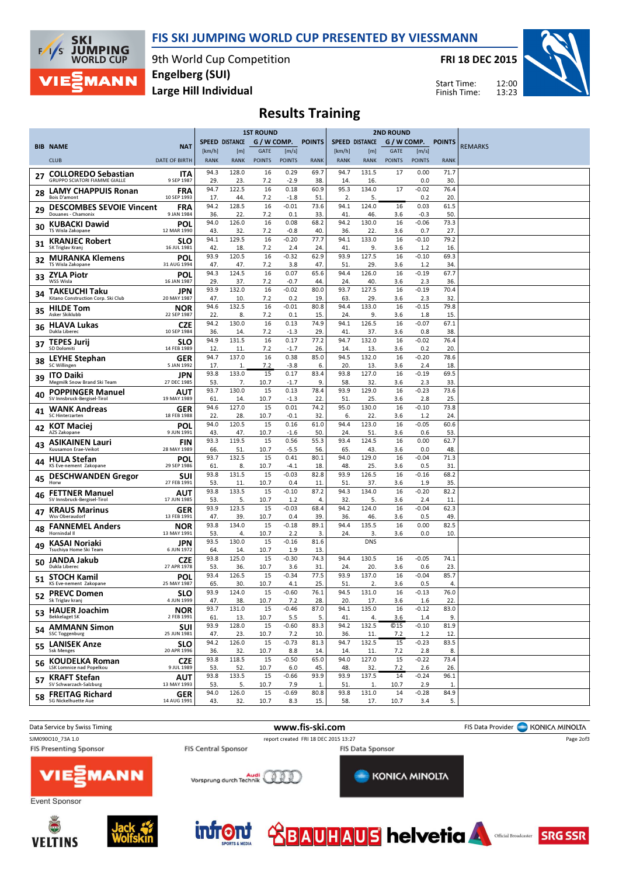



9th World Cup Competition Large Hill Individual Engelberg (SUI)

FRI 18 DEC 2015

Start Time: Finish Time:



# Results Training

|    |                                                        |                           | <b>1ST ROUND</b>      |                       |                              |                        | <b>2ND ROUND</b> |                       |                    |                              |                        |             |                |
|----|--------------------------------------------------------|---------------------------|-----------------------|-----------------------|------------------------------|------------------------|------------------|-----------------------|--------------------|------------------------------|------------------------|-------------|----------------|
|    | <b>BIB NAME</b>                                        | <b>NAT</b>                |                       | <b>SPEED DISTANCE</b> | G / W COMP.                  |                        | <b>POINTS</b>    | <b>SPEED DISTANCE</b> |                    |                              | G / W COMP. POINTS     |             | <b>REMARKS</b> |
|    | <b>CLUB</b>                                            | <b>DATE OF BIRTH</b>      | [km/h]<br><b>RANK</b> | [m]<br><b>RANK</b>    | <b>GATE</b><br><b>POINTS</b> | [m/s]<br><b>POINTS</b> | <b>RANK</b>      | [km/h]<br><b>RANK</b> | [m]<br><b>RANK</b> | <b>GATE</b><br><b>POINTS</b> | [m/s]<br><b>POINTS</b> | <b>RANK</b> |                |
|    | <b>COLLOREDO Sebastian</b>                             | ITA                       | 94.3                  | 128.0                 | 16                           | 0.29                   | 69.7             | 94.7                  | 131.5              | 17                           | 0.00                   | 71.7        |                |
| 27 | <b>GRUPPO SCIATORI FIAMME GIALLE</b>                   | 9 SEP 1987                | 29.                   | 23.                   | 7.2                          | $-2.9$                 | 38               | 14.                   | 16.                |                              | 0.0                    | 30.         |                |
| 28 | <b>LAMY CHAPPUIS Ronan</b><br><b>Bois D'amont</b>      | <b>FRA</b><br>10 SEP 1993 | 94.7<br>17.           | 122.5<br>44.          | 16<br>7.2                    | 0.18<br>$-1.8$         | 60.9<br>51       | 95.3<br>2.            | 134.0<br>5.        | 17                           | $-0.02$<br>0.2         | 76.4<br>20. |                |
| 29 | <b>DESCOMBES SEVOIE Vincent</b><br>Douanes - Chamonix  | <b>FRA</b><br>9 JAN 1984  | 94.2<br>36.           | 128.5<br>22.          | 16<br>7.2                    | $-0.01$<br>0.1         | 73.6<br>33.      | 94.1<br>41            | 124.0<br>46.       | 16<br>3.6                    | 0.03<br>$-0.3$         | 61.5<br>50. |                |
| 30 | <b>KUBACKI Dawid</b><br>TS Wisla Zakopane              | <b>POL</b><br>12 MAR 1990 | 94.0<br>43.           | 126.0<br>32.          | 16<br>7.2                    | 0.08<br>$-0.8$         | 68.2<br>40.      | 94.2<br>36.           | 130.0<br>22.       | 16<br>3.6                    | $-0.06$<br>0.7         | 73.3<br>27. |                |
| 31 | <b>KRANJEC Robert</b>                                  | <b>SLO</b>                | 94.1                  | 129.5                 | 16                           | $-0.20$                | 77.7             | 94.1                  | 133.0              | 16                           | $-0.10$                | 79.2        |                |
| 32 | SK Triglav Kranj<br><b>MURANKA Klemens</b>             | 16 JUL 1981<br>POL        | 42.<br>93.9           | 18.<br>120.5          | 7.2<br>16                    | 2.4<br>$-0.32$         | 24<br>62.9       | 41<br>93.9            | 9.<br>127.5        | 3.6<br>16                    | 1.2<br>$-0.10$         | 16.<br>69.3 |                |
| 33 | TS Wisla Zakopane<br><b>ZYLA Piotr</b>                 | 31 AUG 1994<br>POL        | 47.<br>94.3           | 47.<br>124.5          | 7.2<br>16                    | 3.8<br>0.07            | 47.<br>65.6      | 51.<br>94.4           | 29.<br>126.0       | 3.6<br>16                    | 1.2<br>$-0.19$         | 34.<br>67.7 |                |
|    | WSS Wisla                                              | 16 JAN 1987               | 29.<br>93.9           | 37.<br>132.0          | 7.2<br>16                    | $-0.7$<br>$-0.02$      | 44.<br>80.0      | 24.<br>93.7           | 40.<br>127.5       | 3.6<br>16                    | 2.3<br>$-0.19$         | 36.<br>70.4 |                |
| 34 | TAKEUCHI Taku<br>Kitano Construction Corp. Ski Club    | JPN<br>20 MAY 1987        | 47.                   | 10                    | 7.2                          | 0.2                    | 19               | 63.                   | 29.                | 3.6                          | 2.3                    | 32.         |                |
| 35 | <b>HILDE Tom</b><br>Asker Skiklubb                     | <b>NOR</b><br>22 SEP 1987 | 94.6<br>22.           | 132.5<br>8.           | 16<br>7.2                    | $-0.01$<br>0.1         | 80.8<br>15.      | 94.4<br>24.           | 133.0<br>9.        | 16<br>3.6                    | $-0.15$<br>1.8         | 79.8<br>15. |                |
| 36 | <b>HLAVA Lukas</b><br>Dukla Liberec                    | <b>CZE</b><br>10 SEP 1984 | 94.2<br>36.           | 130.0<br>14.          | 16<br>7.2                    | 0.13<br>$-1.3$         | 74.9<br>29       | 94.1<br>41            | 126.5<br>37.       | 16<br>3.6                    | $-0.07$<br>0.8         | 67.1<br>38. |                |
| 37 | <b>TEPES Jurij</b><br>SD Dolomiti                      | <b>SLO</b><br>14 FEB 1989 | 94.9<br>12.           | 131.5<br>11.          | 16<br>7.2                    | 0.17<br>$-1.7$         | 77.2<br>26.      | 94.7<br>14.           | 132.0<br>13.       | 16<br>3.6                    | $-0.02$<br>0.2         | 76.4<br>20. |                |
| 38 | <b>LEYHE Stephan</b>                                   | <b>GER</b>                | 94.7                  | 137.0                 | 16                           | 0.38                   | 85.0             | 94.5                  | 132.0              | 16                           | $-0.20$                | 78.6        |                |
| 39 | SC Willingen<br><b>ITO Daiki</b>                       | 5 JAN 1992<br>JPN         | 17.<br>93.8           | 1.<br>133.0           | 7.2<br>15                    | $-3.8$<br>0.17         | 6.<br>83.4       | 20.<br>93.8           | 13.<br>127.0       | 3.6<br>16                    | 2.4<br>$-0.19$         | 18.<br>69.5 |                |
| 40 | Megmilk Snow Brand Ski Team<br><b>POPPINGER Manuel</b> | 27 DEC 1985<br>AUT        | 53.<br>93.7           | 7.<br>130.0           | 10.7<br>15                   | $-1.7$<br>0.13         | 9.<br>78.4       | 58.<br>93.9           | 32.<br>129.0       | 3.6<br>16                    | 2.3<br>$-0.23$         | 33.<br>73.6 |                |
|    | SV Innsbruck-Bergisel-Tirol<br><b>WANK Andreas</b>     | 19 MAY 1989<br>GER        | 61.<br>94.6           | 14.<br>127.0          | 10.7<br>15                   | $-1.3$<br>0.01         | 22<br>74.2       | 51<br>95.0            | 25.<br>130.0       | 3.6<br>16                    | 2.8<br>$-0.10$         | 25.<br>73.8 |                |
| 41 | SC Hinterzarten<br><b>KOT Maciei</b>                   | 18 FEB 1988<br>POL        | 22.<br>94.0           | 28.<br>120.5          | 10.7<br>15                   | $-0.1$<br>0.16         | 32.<br>61.0      | -6.<br>94.4           | 22.<br>123.0       | 3.6<br>16                    | 1.2<br>$-0.05$         | 24.<br>60.6 |                |
| 42 | AZS Zakopane                                           | 9 JUN 1991                | 43.                   | 47.                   | 10.7<br>15                   | $-1.6$                 | 50.              | 24.<br>93.4           | 51.                | 3.6                          | 0.6                    | 53.         |                |
| 43 | <b>ASIKAINEN Lauri</b><br>Kuusamon Erae-Veikot         | <b>FIN</b><br>28 MAY 1989 | 93.3<br>66.           | 119.5<br>51.          | 10.7                         | 0.56<br>$-5.5$         | 55.3<br>56.      | 65.                   | 124.5<br>43.       | 16<br>3.6                    | 0.00<br>0.0            | 62.7<br>48. |                |
| 44 | <b>HULA Stefan</b><br>KS Eve-nement Zakopane           | POL<br>29 SEP 1986        | 93.7<br>61.           | 132.5<br>8.           | 15<br>10.7                   | 0.41<br>$-4.1$         | 80.1<br>18.      | 94.0<br>48.           | 129.0<br>25.       | 16<br>3.6                    | $-0.04$<br>0.5         | 71.3<br>31  |                |
| 45 | <b>DESCHWANDEN Gregor</b><br>Horw                      | SUI<br>27 FEB 1991        | 93.8<br>53.           | 131.5<br>11.          | 15<br>10.7                   | $-0.03$<br>0.4         | 82.8<br>11       | 93.9<br>51.           | 126.5<br>37.       | 16<br>3.6                    | $-0.16$<br>1.9         | 68.2<br>35. |                |
| 46 | <b>FETTNER Manuel</b><br>SV Innsbruck-Bergisel-Tirol   | AUT<br>17 JUN 1985        | 93.8<br>53.           | 133.5<br>5.           | 15<br>10.7                   | $-0.10$<br>1.2         | 87.2<br>4.       | 94.3<br>32.           | 134.0<br>5.        | 16<br>3.6                    | $-0.20$<br>2.4         | 82.2<br>11. |                |
| 47 | <b>KRAUS Marinus</b>                                   | <b>GER</b>                | 93.9                  | 123.5                 | 15                           | $-0.03$                | 68.4             | 94.2                  | 124.0              | 16                           | $-0.04$                | 62.3        |                |
|    | Wsv Oberaudorf<br><b>FANNEMEL Anders</b>               | 13 FEB 1991<br><b>NOR</b> | 47.<br>93.8           | 39.<br>134.0          | 10.7<br>15                   | 0.4<br>$-0.18$         | 39<br>89.1       | 36.<br>94.4           | 46.<br>135.5       | 3.6<br>16                    | 0.5<br>0.00            | 49.<br>82.5 |                |
| 48 | Hornindal II                                           | 13 MAY 1991<br>JPN        | 53.<br>93.5           | 4.<br>130.0           | 10.7<br>15                   | 2.2<br>$-0.16$         | 3.<br>81.6       | 24.                   | 3.<br><b>DNS</b>   | 3.6                          | 0.0                    | 10.         |                |
| 49 | <b>KASAI Noriaki</b><br>Tsuchiya Home Ski Team         | 6 JUN 1972                | 64.                   | 14.                   | 10.7                         | 1.9                    | 13.              |                       |                    |                              |                        |             |                |
| 50 | JANDA Jakub<br>Dukla Liberec                           | CZE<br>27 APR 1978        | 93.8<br>53.           | 125.0<br>36.          | 15<br>10.7                   | $-0.30$<br>3.6         | 74.3<br>31       | 94.4<br>24            | 130.5<br>20.       | 16<br>3.6                    | $-0.05$<br>0.6         | 74.1<br>23. |                |
| 51 | <b>STOCH Kamil</b><br>KS Eve-nement Zakopane           | POL<br>25 MAY 1987        | 93.4<br>65.           | 126.5<br>30.          | 15<br>10.7                   | $-0.34$<br>4.1         | 77.5<br>25       | 93.9<br>51            | 137.0<br>2.        | 16<br>3.6                    | $-0.04$<br>0.5         | 85.7<br>4.  |                |
| 52 | <b>PREVC Domen</b><br>Sk Triglav kranj                 | SLO.<br>4 JUN 1999        | 93.9<br>47.           | 124.0<br>38.          | 15<br>10.7                   | $-0.60$<br>7.2         | 76.1<br>28.      | 94.5<br>20.           | 131.0<br>17.       | 16<br>3.6                    | $-0.13$<br>1.6         | 76.0<br>22. |                |
|    | 53 HAUER Joachim<br><b>Bekkelaget SK</b>               | <b>NOR</b><br>2 FEB 1991  | 93.7<br>61.           | 131.0<br>13.          | 15<br>10.7                   | $-0.46$<br>5.5         | 87.0<br>5.       | 94.1<br>41            | 135.0<br>4.        | 16<br>3.6                    | $-0.12$<br>1.4         | 83.0<br>9.  |                |
|    | 54 AMMANN Simon<br><b>SSC Toggenburg</b>               | <b>SUI</b><br>25 JUN 1981 | 93.9<br>47.           | 128.0<br>23.          | 15<br>10.7                   | $-0.60$<br>7.2         | 83.3<br>10.      | 94.2<br>36.           | 132.5<br>11.       | <b>©15</b><br>7.2            | $-0.10$<br>1.2         | 81.9<br>12. |                |
| 55 | <b>LANISEK Anze</b>                                    | <b>SLO</b>                | 94.2                  | 126.0                 | 15                           | $-0.73$                | 81.3             | 94.7                  | 132.5              | 15                           | $-0.23$                | 83.5        |                |
| 56 | <b>Ssk Menges</b><br><b>KOUDELKA Roman</b>             | 20 APR 1996<br><b>CZE</b> | 36.<br>93.8           | 32.<br>118.5          | 10.7<br>15                   | 8.8<br>$-0.50$         | 14.<br>65.0      | 14.<br>94.0           | 11.<br>127.0       | 7.2<br>15                    | 2.8<br>$-0.22$         | 8.<br>73.4  |                |
|    | LSK Lomnice nad Popelkou<br>57 KRAFT Stefan            | 9 JUL 1989<br><b>AUT</b>  | 53.<br>93.8           | 52.<br>133.5          | 10.7<br>15                   | 6.0<br>$-0.66$         | 45.<br>93.9      | 48.<br>93.9           | 32.<br>137.5       | 7.2<br>14                    | 2.6<br>$-0.24$         | 26.<br>96.1 |                |
|    | SV Schwarzach-Salzburg                                 | 13 MAY 1993               | 53.                   | 5.                    | 10.7                         | 7.9                    | 1.               | 51.                   | 1.                 | 10.7                         | 2.9                    | 1.          |                |
| 58 | <b>FREITAG Richard</b><br><b>SG Nickelhuette Aue</b>   | <b>GER</b><br>14 AUG 1991 | 94.0<br>43.           | 126.0<br>32.          | 15<br>10.7                   | $-0.69$<br>8.3         | 80.8<br>15.      | 93.8<br>58.           | 131.0<br>17.       | 14<br>10.7                   | $-0.28$<br>3.4         | 84.9<br>5.  |                |